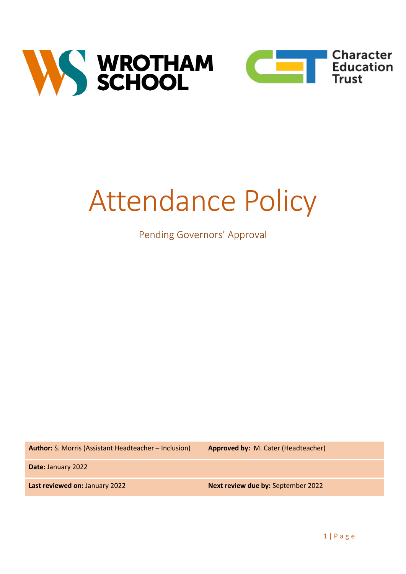



# Attendance Policy

# Pending Governors' Approval

**Author:** S. Morris (Assistant Headteacher – Inclusion) **Approved by:** M. Cater (Headteacher)

**Date:** January 2022

**Last reviewed on:** January 2022 **Next review due by:** September 2022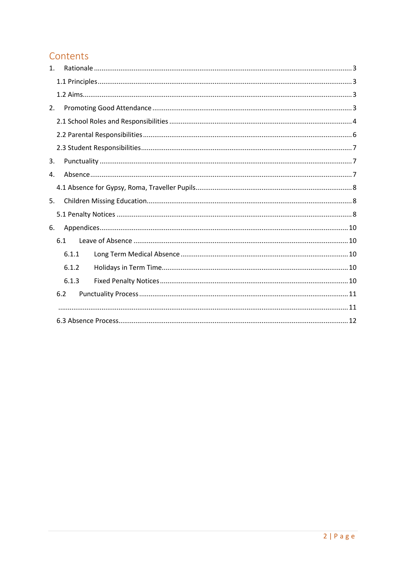# Contents

| $\mathbf{1}$ . |       |  |  |
|----------------|-------|--|--|
|                |       |  |  |
|                |       |  |  |
| 2.             |       |  |  |
|                |       |  |  |
|                |       |  |  |
|                |       |  |  |
| 3.             |       |  |  |
| 4.             |       |  |  |
|                |       |  |  |
| 5.             |       |  |  |
|                |       |  |  |
| 6.             |       |  |  |
|                | 6.1   |  |  |
|                | 6.1.1 |  |  |
|                | 6.1.2 |  |  |
|                | 6.1.3 |  |  |
|                | 6.2   |  |  |
|                |       |  |  |
|                |       |  |  |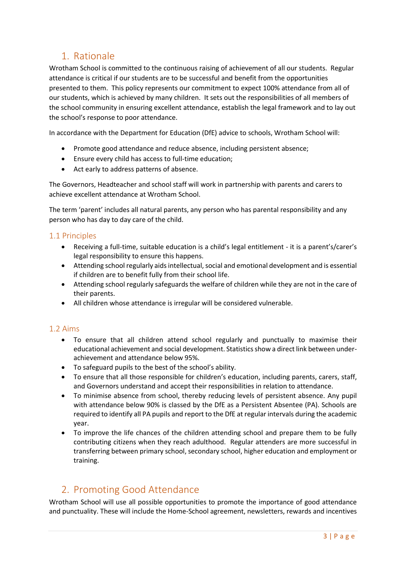# <span id="page-2-0"></span>1. Rationale

Wrotham School is committed to the continuous raising of achievement of all our students. Regular attendance is critical if our students are to be successful and benefit from the opportunities presented to them. This policy represents our commitment to expect 100% attendance from all of our students, which is achieved by many children. It sets out the responsibilities of all members of the school community in ensuring excellent attendance, establish the legal framework and to lay out the school's response to poor attendance.

In accordance with the Department for Education (DfE) advice to schools, Wrotham School will:

- Promote good attendance and reduce absence, including persistent absence;
- Ensure every child has access to full-time education;
- Act early to address patterns of absence.

The Governors, Headteacher and school staff will work in partnership with parents and carers to achieve excellent attendance at Wrotham School.

The term 'parent' includes all natural parents, any person who has parental responsibility and any person who has day to day care of the child.

## <span id="page-2-1"></span>1.1 Principles

- Receiving a full-time, suitable education is a child's legal entitlement it is a parent's/carer's legal responsibility to ensure this happens.
- Attending school regularly aids intellectual, social and emotional development and is essential if children are to benefit fully from their school life.
- Attending school regularly safeguards the welfare of children while they are not in the care of their parents.
- All children whose attendance is irregular will be considered vulnerable.

## <span id="page-2-2"></span>1.2 Aims

- To ensure that all children attend school regularly and punctually to maximise their educational achievement and social development. Statistics show a direct link between underachievement and attendance below 95%.
- To safeguard pupils to the best of the school's ability.
- To ensure that all those responsible for children's education, including parents, carers, staff, and Governors understand and accept their responsibilities in relation to attendance.
- To minimise absence from school, thereby reducing levels of persistent absence. Any pupil with attendance below 90% is classed by the DfE as a Persistent Absentee (PA). Schools are required to identify all PA pupils and report to the DfE at regular intervals during the academic year.
- To improve the life chances of the children attending school and prepare them to be fully contributing citizens when they reach adulthood. Regular attenders are more successful in transferring between primary school, secondary school, higher education and employment or training.

## <span id="page-2-3"></span>2. Promoting Good Attendance

Wrotham School will use all possible opportunities to promote the importance of good attendance and punctuality. These will include the Home-School agreement, newsletters, rewards and incentives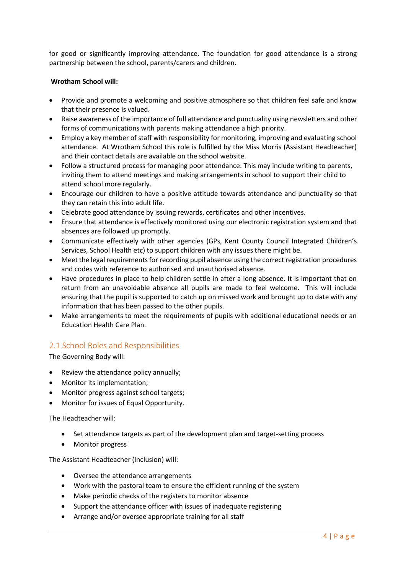for good or significantly improving attendance. The foundation for good attendance is a strong partnership between the school, parents/carers and children.

#### **Wrotham School will:**

- Provide and promote a welcoming and positive atmosphere so that children feel safe and know that their presence is valued.
- Raise awareness of the importance of full attendance and punctuality using newsletters and other forms of communications with parents making attendance a high priority.
- Employ a key member of staff with responsibility for monitoring, improving and evaluating school attendance. At Wrotham School this role is fulfilled by the Miss Morris (Assistant Headteacher) and their contact details are available on the school website.
- Follow a structured process for managing poor attendance. This may include writing to parents, inviting them to attend meetings and making arrangements in school to support their child to attend school more regularly.
- Encourage our children to have a positive attitude towards attendance and punctuality so that they can retain this into adult life.
- Celebrate good attendance by issuing rewards, certificates and other incentives.
- Ensure that attendance is effectively monitored using our electronic registration system and that absences are followed up promptly.
- Communicate effectively with other agencies (GPs, Kent County Council Integrated Children's Services, School Health etc) to support children with any issues there might be.
- Meet the legal requirements for recording pupil absence using the correct registration procedures and codes with reference to authorised and unauthorised absence.
- Have procedures in place to help children settle in after a long absence. It is important that on return from an unavoidable absence all pupils are made to feel welcome. This will include ensuring that the pupil is supported to catch up on missed work and brought up to date with any information that has been passed to the other pupils.
- Make arrangements to meet the requirements of pupils with additional educational needs or an Education Health Care Plan.

## <span id="page-3-0"></span>2.1 School Roles and Responsibilities

The Governing Body will:

- Review the attendance policy annually;
- Monitor its implementation;
- Monitor progress against school targets;
- Monitor for issues of Equal Opportunity.

The Headteacher will:

- Set attendance targets as part of the development plan and target-setting process
- Monitor progress

The Assistant Headteacher (Inclusion) will:

- Oversee the attendance arrangements
- Work with the pastoral team to ensure the efficient running of the system
- Make periodic checks of the registers to monitor absence
- Support the attendance officer with issues of inadequate registering
- Arrange and/or oversee appropriate training for all staff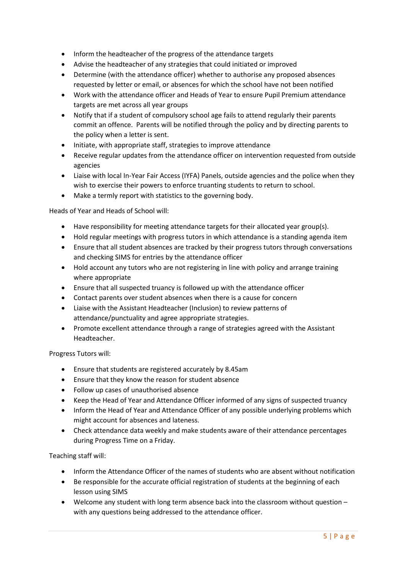- Inform the headteacher of the progress of the attendance targets
- Advise the headteacher of any strategies that could initiated or improved
- Determine (with the attendance officer) whether to authorise any proposed absences requested by letter or email, or absences for which the school have not been notified
- Work with the attendance officer and Heads of Year to ensure Pupil Premium attendance targets are met across all year groups
- Notify that if a student of compulsory school age fails to attend regularly their parents commit an offence. Parents will be notified through the policy and by directing parents to the policy when a letter is sent.
- Initiate, with appropriate staff, strategies to improve attendance
- Receive regular updates from the attendance officer on intervention requested from outside agencies
- Liaise with local In-Year Fair Access (IYFA) Panels, outside agencies and the police when they wish to exercise their powers to enforce truanting students to return to school.
- Make a termly report with statistics to the governing body.

Heads of Year and Heads of School will:

- Have responsibility for meeting attendance targets for their allocated year group(s).
- Hold regular meetings with progress tutors in which attendance is a standing agenda item
- Ensure that all student absences are tracked by their progress tutors through conversations and checking SIMS for entries by the attendance officer
- Hold account any tutors who are not registering in line with policy and arrange training where appropriate
- Ensure that all suspected truancy is followed up with the attendance officer
- Contact parents over student absences when there is a cause for concern
- Liaise with the Assistant Headteacher (Inclusion) to review patterns of attendance/punctuality and agree appropriate strategies.
- Promote excellent attendance through a range of strategies agreed with the Assistant Headteacher.

Progress Tutors will:

- Ensure that students are registered accurately by 8.45am
- Ensure that they know the reason for student absence
- Follow up cases of unauthorised absence
- Keep the Head of Year and Attendance Officer informed of any signs of suspected truancy
- Inform the Head of Year and Attendance Officer of any possible underlying problems which might account for absences and lateness.
- Check attendance data weekly and make students aware of their attendance percentages during Progress Time on a Friday.

Teaching staff will:

- Inform the Attendance Officer of the names of students who are absent without notification
- Be responsible for the accurate official registration of students at the beginning of each lesson using SIMS
- Welcome any student with long term absence back into the classroom without question with any questions being addressed to the attendance officer.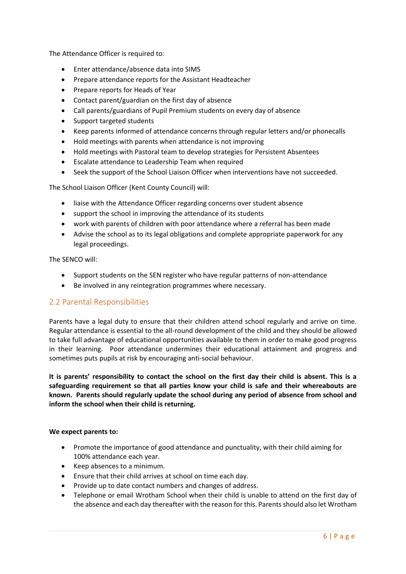The Attendance Officer is required to:

- Enter attendance/absence data into SIMS
- Prepare attendance reports for the Assistant Headteacher
- Prepare reports for Heads of Year
- Contact parent/guardian on the first day of absence
- Call parents/guardians of Pupil Premium students on every day of absence
- Support targeted students
- Keep parents informed of attendance concerns through regular letters and/or phonecalls
- Hold meetings with parents when attendance is not improving
- Hold meetings with Pastoral team to develop strategies for Persistent Absentees
- Escalate attendance to Leadership Team when required
- Seek the support of the School Liaison Officer when interventions have not succeeded.

The School Liaison Officer (Kent County Council) will:

- liaise with the Attendance Officer regarding concerns over student absence
- support the school in improving the attendance of its students
- work with parents of children with poor attendance where a referral has been made
- Advise the school as to its legal obligations and complete appropriate paperwork for any legal proceedings.

The SENCO will:

- Support students on the SEN register who have regular patterns of non-attendance
- Be involved in any reintegration programmes where necessary.

## <span id="page-5-0"></span>2.2 Parental Responsibilities

Parents have a legal duty to ensure that their children attend school regularly and arrive on time. Regular attendance is essential to the all-round development of the child and they should be allowed to take full advantage of educational opportunities available to them in order to make good progress in their learning. Poor attendance undermines their educational attainment and progress and sometimes puts pupils at risk by encouraging anti-social behaviour.

**It is parents' responsibility to contact the school on the first day their child is absent. This is a safeguarding requirement so that all parties know your child is safe and their whereabouts are known. Parents should regularly update the school during any period of absence from school and inform the school when their child is returning.**

#### **We expect parents to:**

- Promote the importance of good attendance and punctuality, with their child aiming for 100% attendance each year.
- Keep absences to a minimum.
- Ensure that their child arrives at school on time each day.
- Provide up to date contact numbers and changes of address.
- Telephone or email Wrotham School when their child is unable to attend on the first day of the absence and each day thereafter with the reason for this. Parents should also let Wrotham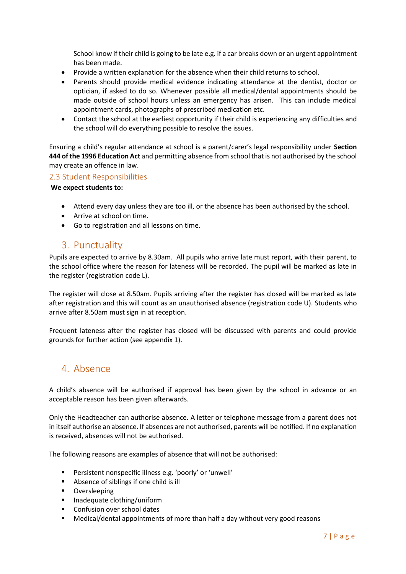School know if their child is going to be late e.g. if a car breaks down or an urgent appointment has been made.

- Provide a written explanation for the absence when their child returns to school.
- Parents should provide medical evidence indicating attendance at the dentist, doctor or optician, if asked to do so. Whenever possible all medical/dental appointments should be made outside of school hours unless an emergency has arisen. This can include medical appointment cards, photographs of prescribed medication etc.
- Contact the school at the earliest opportunity if their child is experiencing any difficulties and the school will do everything possible to resolve the issues.

Ensuring a child's regular attendance at school is a parent/carer's legal responsibility under **Section 444 of the 1996 Education Act** and permitting absence from school that is not authorised by the school may create an offence in law.

#### <span id="page-6-0"></span>2.3 Student Responsibilities

#### **We expect students to:**

- Attend every day unless they are too ill, or the absence has been authorised by the school.
- Arrive at school on time.
- <span id="page-6-1"></span>• Go to registration and all lessons on time.

## 3. Punctuality

Pupils are expected to arrive by 8.30am. All pupils who arrive late must report, with their parent, to the school office where the reason for lateness will be recorded. The pupil will be marked as late in the register (registration code L).

The register will close at 8.50am. Pupils arriving after the register has closed will be marked as late after registration and this will count as an unauthorised absence (registration code U). Students who arrive after 8.50am must sign in at reception.

Frequent lateness after the register has closed will be discussed with parents and could provide grounds for further action (see appendix 1).

## <span id="page-6-2"></span>4. Absence

A child's absence will be authorised if approval has been given by the school in advance or an acceptable reason has been given afterwards.

Only the Headteacher can authorise absence. A letter or telephone message from a parent does not in itself authorise an absence. If absences are not authorised, parents will be notified. If no explanation is received, absences will not be authorised.

The following reasons are examples of absence that will not be authorised:

- Persistent nonspecific illness e.g. 'poorly' or 'unwell'
- Absence of siblings if one child is ill
- Oversleeping
- Inadequate clothing/uniform
- Confusion over school dates
- Medical/dental appointments of more than half a day without very good reasons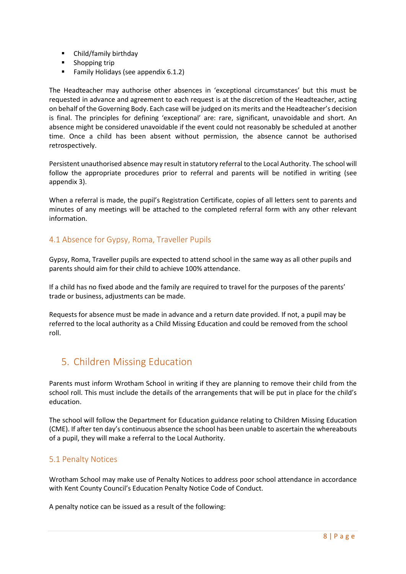- Child/family birthday
- Shopping trip
- Family Holidays (see appendix 6.1.2)

The Headteacher may authorise other absences in 'exceptional circumstances' but this must be requested in advance and agreement to each request is at the discretion of the Headteacher, acting on behalf of the Governing Body. Each case will be judged on its merits and the Headteacher's decision is final. The principles for defining 'exceptional' are: rare, significant, unavoidable and short. An absence might be considered unavoidable if the event could not reasonably be scheduled at another time. Once a child has been absent without permission, the absence cannot be authorised retrospectively.

Persistent unauthorised absence may result in statutory referral to the Local Authority. The school will follow the appropriate procedures prior to referral and parents will be notified in writing (see appendix 3).

When a referral is made, the pupil's Registration Certificate, copies of all letters sent to parents and minutes of any meetings will be attached to the completed referral form with any other relevant information.

## <span id="page-7-0"></span>4.1 Absence for Gypsy, Roma, Traveller Pupils

Gypsy, Roma, Traveller pupils are expected to attend school in the same way as all other pupils and parents should aim for their child to achieve 100% attendance.

If a child has no fixed abode and the family are required to travel for the purposes of the parents' trade or business, adjustments can be made.

Requests for absence must be made in advance and a return date provided. If not, a pupil may be referred to the local authority as a Child Missing Education and could be removed from the school roll.

# <span id="page-7-1"></span>5. Children Missing Education

Parents must inform Wrotham School in writing if they are planning to remove their child from the school roll. This must include the details of the arrangements that will be put in place for the child's education.

The school will follow the Department for Education guidance relating to Children Missing Education (CME). If after ten day's continuous absence the school has been unable to ascertain the whereabouts of a pupil, they will make a referral to the Local Authority.

## <span id="page-7-2"></span>5.1 Penalty Notices

Wrotham School may make use of Penalty Notices to address poor school attendance in accordance with Kent County Council's Education Penalty Notice Code of Conduct.

A penalty notice can be issued as a result of the following: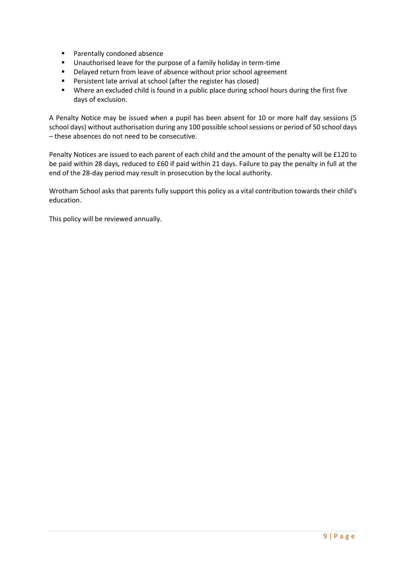- Parentally condoned absence
- Unauthorised leave for the purpose of a family holiday in term-time
- Delayed return from leave of absence without prior school agreement
- Persistent late arrival at school (after the register has closed)
- Where an excluded child is found in a public place during school hours during the first five days of exclusion.

A Penalty Notice may be issued when a pupil has been absent for 10 or more half day sessions (5 school days) without authorisation during any 100 possible school sessions or period of 50 school days – these absences do not need to be consecutive.

Penalty Notices are issued to each parent of each child and the amount of the penalty will be £120 to be paid within 28 days, reduced to £60 if paid within 21 days. Failure to pay the penalty in full at the end of the 28-day period may result in prosecution by the local authority.

Wrotham School asks that parents fully support this policy as a vital contribution towards their child's education.

This policy will be reviewed annually.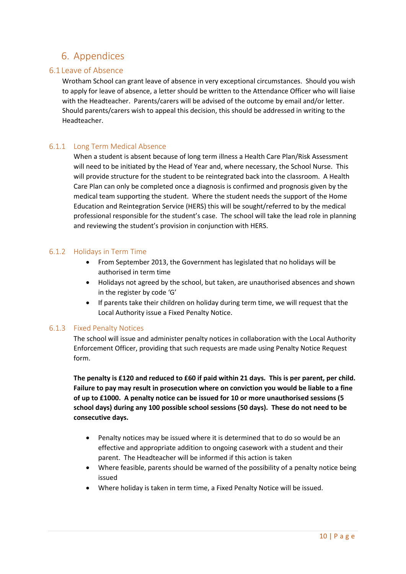## <span id="page-9-0"></span>6. Appendices

## <span id="page-9-1"></span>6.1 Leave of Absence

Wrotham School can grant leave of absence in very exceptional circumstances. Should you wish to apply for leave of absence, a letter should be written to the Attendance Officer who will liaise with the Headteacher. Parents/carers will be advised of the outcome by email and/or letter. Should parents/carers wish to appeal this decision, this should be addressed in writing to the Headteacher.

## <span id="page-9-2"></span>6.1.1 Long Term Medical Absence

When a student is absent because of long term illness a Health Care Plan/Risk Assessment will need to be initiated by the Head of Year and, where necessary, the School Nurse. This will provide structure for the student to be reintegrated back into the classroom. A Health Care Plan can only be completed once a diagnosis is confirmed and prognosis given by the medical team supporting the student. Where the student needs the support of the Home Education and Reintegration Service (HERS) this will be sought/referred to by the medical professional responsible for the student's case. The school will take the lead role in planning and reviewing the student's provision in conjunction with HERS.

## <span id="page-9-3"></span>6.1.2 Holidays in Term Time

- From September 2013, the Government has legislated that no holidays will be authorised in term time
- Holidays not agreed by the school, but taken, are unauthorised absences and shown in the register by code 'G'
- If parents take their children on holiday during term time, we will request that the Local Authority issue a Fixed Penalty Notice.

## <span id="page-9-4"></span>6.1.3 Fixed Penalty Notices

The school will issue and administer penalty notices in collaboration with the Local Authority Enforcement Officer, providing that such requests are made using Penalty Notice Request form.

**The penalty is £120 and reduced to £60 if paid within 21 days. This is per parent, per child. Failure to pay may result in prosecution where on conviction you would be liable to a fine of up to £1000. A penalty notice can be issued for 10 or more unauthorised sessions (5 school days) during any 100 possible school sessions (50 days). These do not need to be consecutive days.**

- Penalty notices may be issued where it is determined that to do so would be an effective and appropriate addition to ongoing casework with a student and their parent. The Headteacher will be informed if this action is taken
- Where feasible, parents should be warned of the possibility of a penalty notice being issued
- Where holiday is taken in term time, a Fixed Penalty Notice will be issued.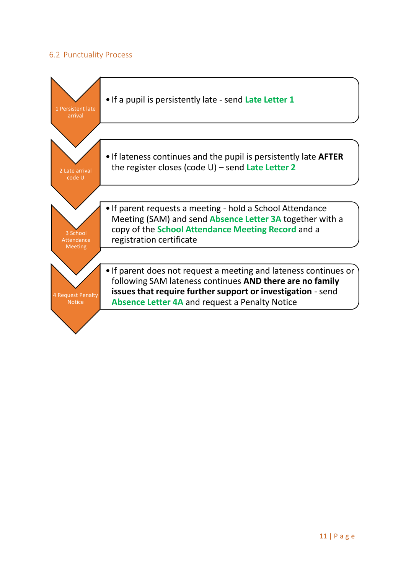## <span id="page-10-0"></span>6.2 Punctuality Process

<span id="page-10-1"></span>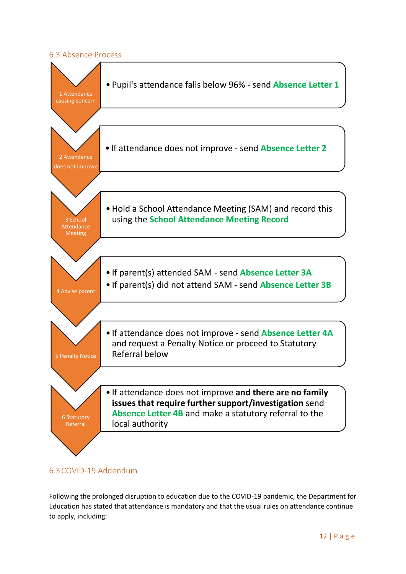## <span id="page-11-0"></span>6.3 Absence Process



## 6.3COVID-19 Addendum

Following the prolonged disruption to education due to the COVID-19 pandemic, the Department for Education has stated that attendance is mandatory and that the usual rules on attendance continue to apply, including: